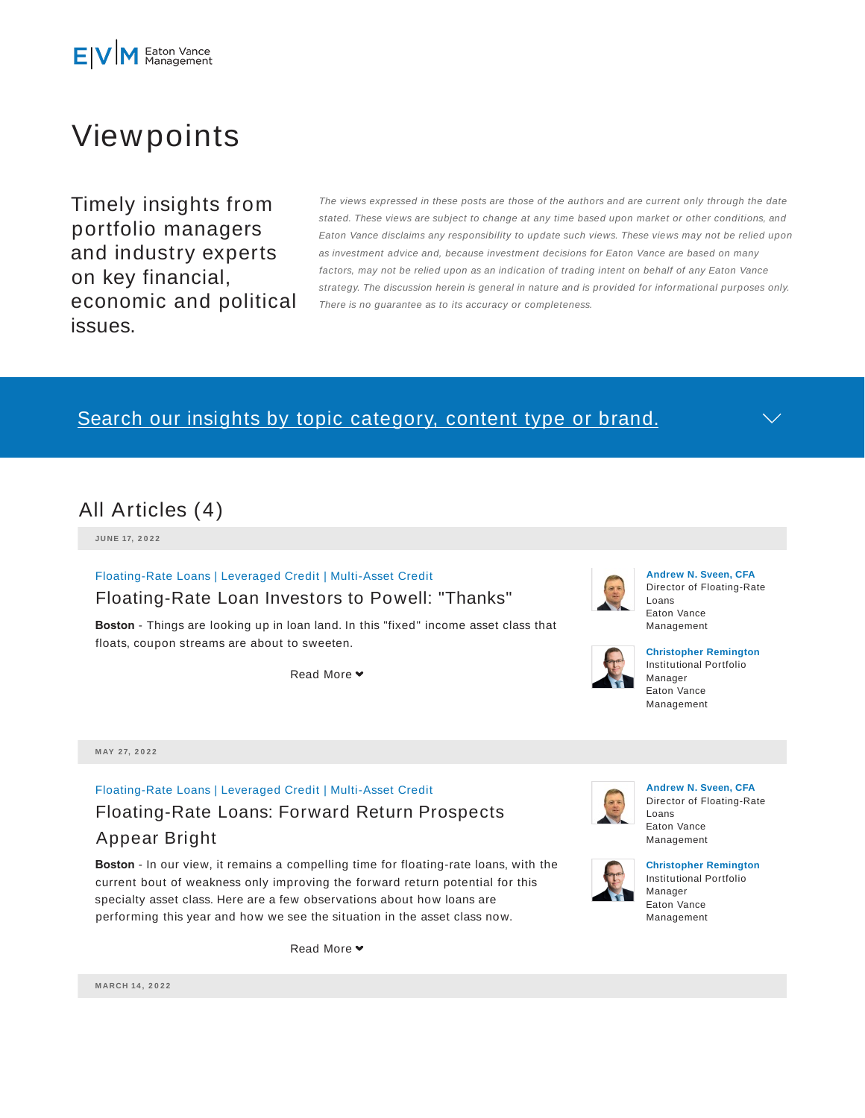

# Viewpoints

Timely insights from portfolio managers and industry experts on key financial, economic and political issues.

The views expressed in these posts are those of the authors and are current only through the date stated. These views are subject to change at any time based upon market or other conditions, and Eaton Vance disclaims any responsibility to update such views. These views may not be relied upon as investment advice and, because investment decisions for Eaton Vance are based on many factors, may not be relied upon as an indication of trading intent on behalf of any Eaton Vance strategy. The discussion herein is general in nature and is provided for informational purposes only. There is no guarantee as to its accuracy or completeness.

# Search our insights by topic category, content type or brand.

### All Articles (4)

**JU N E 17, 2 0 2 2**

Floating-Rate Loans | Leveraged Credit | Multi-Asset Credit

### Floating-Rate Loan Investors to Powell: "Thanks"

**Boston** - Things are looking up in loan land. In this "fixed" income asset class that floats, coupon streams are about to sweeten.

Read More **▼** 



#### **Andrew N. Sveen, CFA** Director of Floating-Rate Loans Eaton Vance Management



#### **Christopher Remington** Institutional Portfolio Manager Eaton Vance Management

**M AY 2 7, 2 0 2 2**

# Floating-Rate Loans | Leveraged Credit | Multi-Asset Credit Floating-Rate Loans: Forward Return Prospects Appear Bright

**Boston** - In our view, it remains a compelling time for floating-rate loans, with the current bout of weakness only improving the forward return potential for this specialty asset class. Here are a few observations about how loans are performing this year and how we see the situation in the asset class now.

Read More  $\blacktriangleright$ 



**Andrew N. Sveen, CFA** Director of Floating-Rate Loans Eaton Vance Management



**Christopher Remington** Institutional Portfolio Manager Eaton Vance Management

**M ARCH 14 , 2 0 2 2**